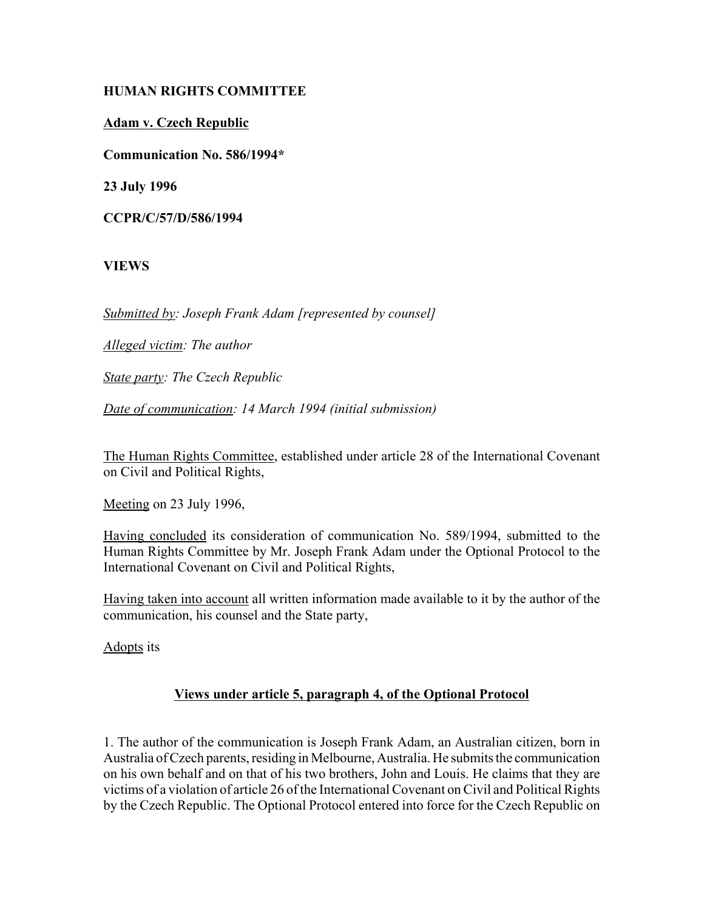# **HUMAN RIGHTS COMMITTEE**

### **Adam v. Czech Republic**

**Communication No. 586/1994\***

**23 July 1996**

**CCPR/C/57/D/586/1994**

# **VIEWS**

*Submitted by: Joseph Frank Adam [represented by counsel]* 

*Alleged victim: The author* 

*State party: The Czech Republic* 

*Date of communication: 14 March 1994 (initial submission)* 

The Human Rights Committee, established under article 28 of the International Covenant on Civil and Political Rights,

Meeting on 23 July 1996,

Having concluded its consideration of communication No. 589/1994, submitted to the Human Rights Committee by Mr. Joseph Frank Adam under the Optional Protocol to the International Covenant on Civil and Political Rights,

Having taken into account all written information made available to it by the author of the communication, his counsel and the State party,

Adopts its

# **Views under article 5, paragraph 4, of the Optional Protocol**

1. The author of the communication is Joseph Frank Adam, an Australian citizen, born in Australia of Czech parents, residing in Melbourne, Australia. He submits the communication on his own behalf and on that of his two brothers, John and Louis. He claims that they are victims of a violation of article 26 of the International Covenant on Civil and Political Rights by the Czech Republic. The Optional Protocol entered into force for the Czech Republic on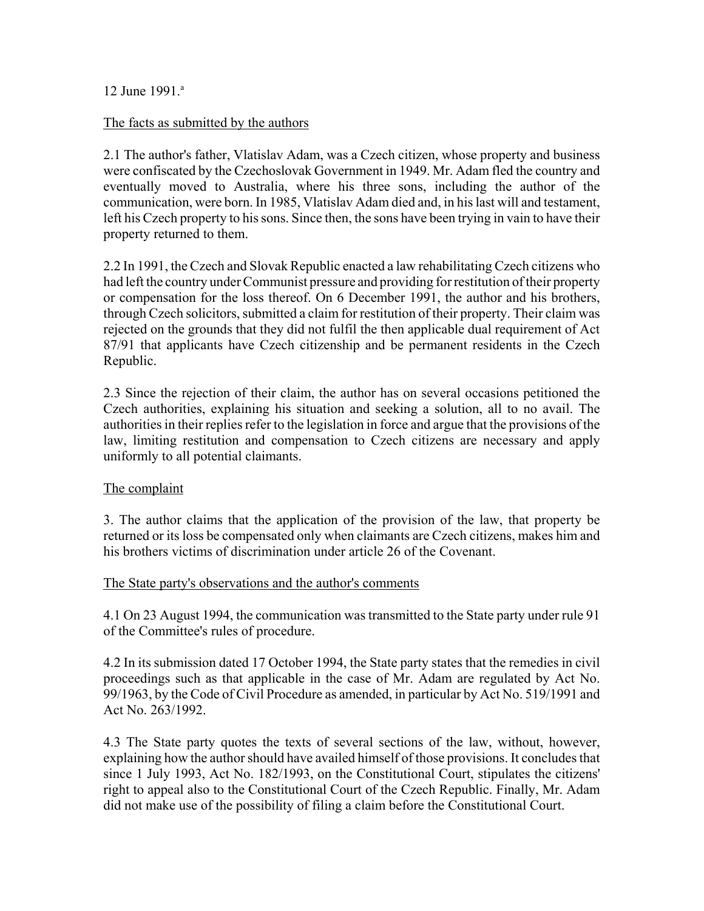12 June 1991<sup>a</sup>

#### The facts as submitted by the authors

2.1 The author's father, Vlatislav Adam, was a Czech citizen, whose property and business were confiscated by the Czechoslovak Government in 1949. Mr. Adam fled the country and eventually moved to Australia, where his three sons, including the author of the communication, were born. In 1985, Vlatislav Adam died and, in his last will and testament, left his Czech property to his sons. Since then, the sons have been trying in vain to have their property returned to them.

2.2 In 1991, the Czech and Slovak Republic enacted a law rehabilitating Czech citizens who had left the country under Communist pressure and providing for restitution of their property or compensation for the loss thereof. On 6 December 1991, the author and his brothers, through Czech solicitors, submitted a claim for restitution of their property. Their claim was rejected on the grounds that they did not fulfil the then applicable dual requirement of Act 87/91 that applicants have Czech citizenship and be permanent residents in the Czech Republic.

2.3 Since the rejection of their claim, the author has on several occasions petitioned the Czech authorities, explaining his situation and seeking a solution, all to no avail. The authorities in their replies refer to the legislation in force and argue that the provisions of the law, limiting restitution and compensation to Czech citizens are necessary and apply uniformly to all potential claimants.

### The complaint

3. The author claims that the application of the provision of the law, that property be returned or its loss be compensated only when claimants are Czech citizens, makes him and his brothers victims of discrimination under article 26 of the Covenant.

### The State party's observations and the author's comments

4.1 On 23 August 1994, the communication was transmitted to the State party under rule 91 of the Committee's rules of procedure.

4.2 In its submission dated 17 October 1994, the State party states that the remedies in civil proceedings such as that applicable in the case of Mr. Adam are regulated by Act No. 99/1963, by the Code of Civil Procedure as amended, in particular by Act No. 519/1991 and Act No. 263/1992.

4.3 The State party quotes the texts of several sections of the law, without, however, explaining how the author should have availed himself of those provisions. It concludes that since 1 July 1993, Act No. 182/1993, on the Constitutional Court, stipulates the citizens' right to appeal also to the Constitutional Court of the Czech Republic. Finally, Mr. Adam did not make use of the possibility of filing a claim before the Constitutional Court.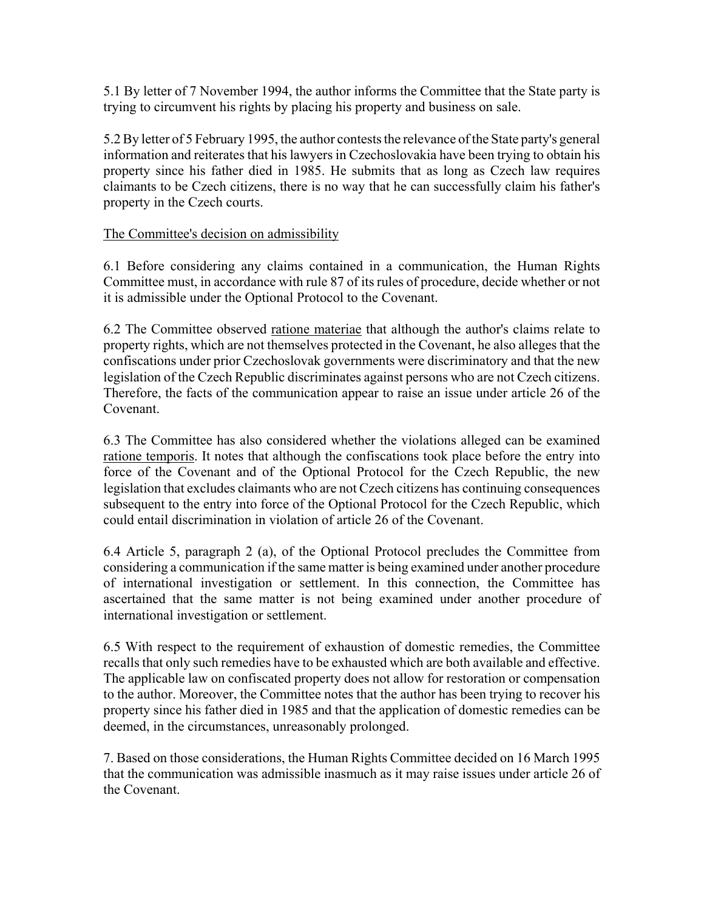5.1 By letter of 7 November 1994, the author informs the Committee that the State party is trying to circumvent his rights by placing his property and business on sale.

5.2 By letter of 5 February 1995, the author contests the relevance of the State party's general information and reiterates that his lawyers in Czechoslovakia have been trying to obtain his property since his father died in 1985. He submits that as long as Czech law requires claimants to be Czech citizens, there is no way that he can successfully claim his father's property in the Czech courts.

### The Committee's decision on admissibility

6.1 Before considering any claims contained in a communication, the Human Rights Committee must, in accordance with rule 87 of its rules of procedure, decide whether or not it is admissible under the Optional Protocol to the Covenant.

6.2 The Committee observed ratione materiae that although the author's claims relate to property rights, which are not themselves protected in the Covenant, he also alleges that the confiscations under prior Czechoslovak governments were discriminatory and that the new legislation of the Czech Republic discriminates against persons who are not Czech citizens. Therefore, the facts of the communication appear to raise an issue under article 26 of the Covenant.

6.3 The Committee has also considered whether the violations alleged can be examined ratione temporis. It notes that although the confiscations took place before the entry into force of the Covenant and of the Optional Protocol for the Czech Republic, the new legislation that excludes claimants who are not Czech citizens has continuing consequences subsequent to the entry into force of the Optional Protocol for the Czech Republic, which could entail discrimination in violation of article 26 of the Covenant.

6.4 Article 5, paragraph 2 (a), of the Optional Protocol precludes the Committee from considering a communication if the same matter is being examined under another procedure of international investigation or settlement. In this connection, the Committee has ascertained that the same matter is not being examined under another procedure of international investigation or settlement.

6.5 With respect to the requirement of exhaustion of domestic remedies, the Committee recalls that only such remedies have to be exhausted which are both available and effective. The applicable law on confiscated property does not allow for restoration or compensation to the author. Moreover, the Committee notes that the author has been trying to recover his property since his father died in 1985 and that the application of domestic remedies can be deemed, in the circumstances, unreasonably prolonged.

7. Based on those considerations, the Human Rights Committee decided on 16 March 1995 that the communication was admissible inasmuch as it may raise issues under article 26 of the Covenant.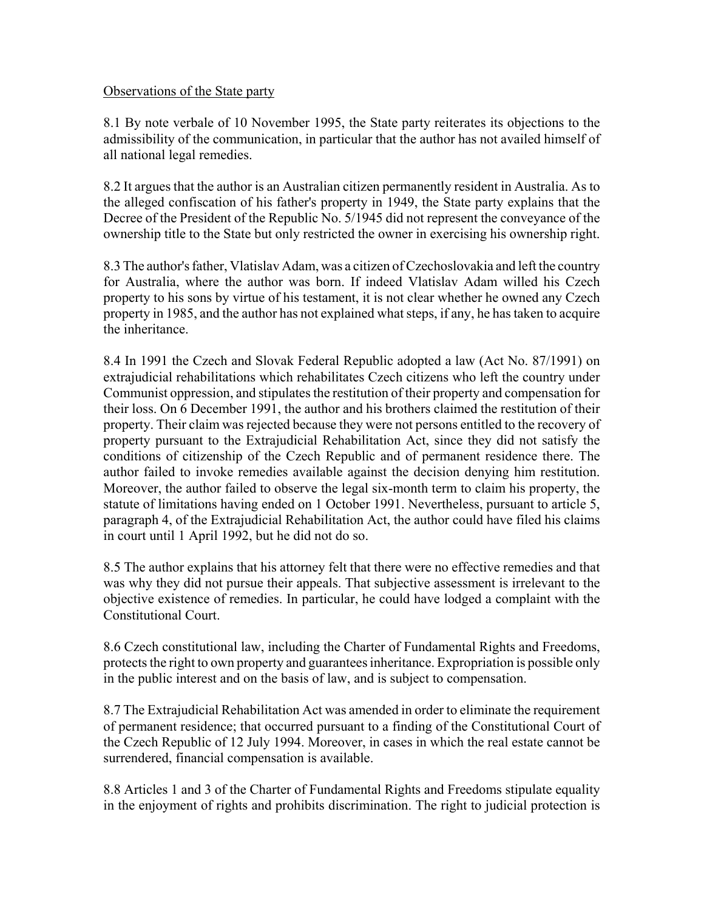### Observations of the State party

8.1 By note verbale of 10 November 1995, the State party reiterates its objections to the admissibility of the communication, in particular that the author has not availed himself of all national legal remedies.

8.2 It argues that the author is an Australian citizen permanently resident in Australia. As to the alleged confiscation of his father's property in 1949, the State party explains that the Decree of the President of the Republic No. 5/1945 did not represent the conveyance of the ownership title to the State but only restricted the owner in exercising his ownership right.

8.3 The author's father, Vlatislav Adam, was a citizen of Czechoslovakia and left the country for Australia, where the author was born. If indeed Vlatislav Adam willed his Czech property to his sons by virtue of his testament, it is not clear whether he owned any Czech property in 1985, and the author has not explained what steps, if any, he has taken to acquire the inheritance.

8.4 In 1991 the Czech and Slovak Federal Republic adopted a law (Act No. 87/1991) on extrajudicial rehabilitations which rehabilitates Czech citizens who left the country under Communist oppression, and stipulates the restitution of their property and compensation for their loss. On 6 December 1991, the author and his brothers claimed the restitution of their property. Their claim was rejected because they were not persons entitled to the recovery of property pursuant to the Extrajudicial Rehabilitation Act, since they did not satisfy the conditions of citizenship of the Czech Republic and of permanent residence there. The author failed to invoke remedies available against the decision denying him restitution. Moreover, the author failed to observe the legal six-month term to claim his property, the statute of limitations having ended on 1 October 1991. Nevertheless, pursuant to article 5, paragraph 4, of the Extrajudicial Rehabilitation Act, the author could have filed his claims in court until 1 April 1992, but he did not do so.

8.5 The author explains that his attorney felt that there were no effective remedies and that was why they did not pursue their appeals. That subjective assessment is irrelevant to the objective existence of remedies. In particular, he could have lodged a complaint with the Constitutional Court.

8.6 Czech constitutional law, including the Charter of Fundamental Rights and Freedoms, protects the right to own property and guarantees inheritance. Expropriation is possible only in the public interest and on the basis of law, and is subject to compensation.

8.7 The Extrajudicial Rehabilitation Act was amended in order to eliminate the requirement of permanent residence; that occurred pursuant to a finding of the Constitutional Court of the Czech Republic of 12 July 1994. Moreover, in cases in which the real estate cannot be surrendered, financial compensation is available.

8.8 Articles 1 and 3 of the Charter of Fundamental Rights and Freedoms stipulate equality in the enjoyment of rights and prohibits discrimination. The right to judicial protection is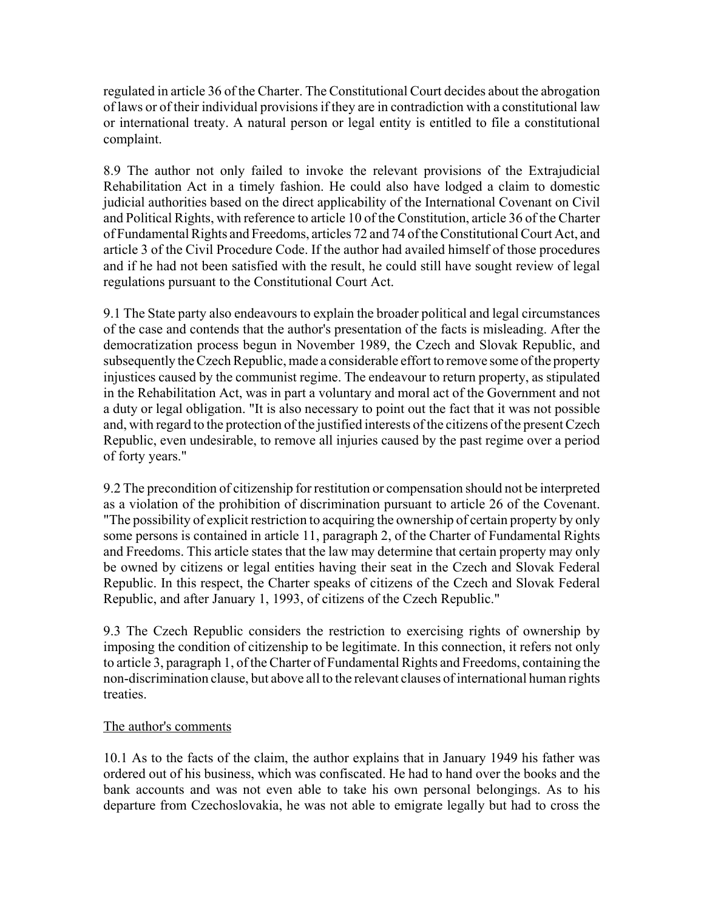regulated in article 36 of the Charter. The Constitutional Court decides about the abrogation of laws or of their individual provisions if they are in contradiction with a constitutional law or international treaty. A natural person or legal entity is entitled to file a constitutional complaint.

8.9 The author not only failed to invoke the relevant provisions of the Extrajudicial Rehabilitation Act in a timely fashion. He could also have lodged a claim to domestic judicial authorities based on the direct applicability of the International Covenant on Civil and Political Rights, with reference to article 10 of the Constitution, article 36 of the Charter of Fundamental Rights and Freedoms, articles 72 and 74 of the Constitutional Court Act, and article 3 of the Civil Procedure Code. If the author had availed himself of those procedures and if he had not been satisfied with the result, he could still have sought review of legal regulations pursuant to the Constitutional Court Act.

9.1 The State party also endeavours to explain the broader political and legal circumstances of the case and contends that the author's presentation of the facts is misleading. After the democratization process begun in November 1989, the Czech and Slovak Republic, and subsequently the Czech Republic, made a considerable effort to remove some of the property injustices caused by the communist regime. The endeavour to return property, as stipulated in the Rehabilitation Act, was in part a voluntary and moral act of the Government and not a duty or legal obligation. "It is also necessary to point out the fact that it was not possible and, with regard to the protection of the justified interests of the citizens of the present Czech Republic, even undesirable, to remove all injuries caused by the past regime over a period of forty years."

9.2 The precondition of citizenship for restitution or compensation should not be interpreted as a violation of the prohibition of discrimination pursuant to article 26 of the Covenant. "The possibility of explicit restriction to acquiring the ownership of certain property by only some persons is contained in article 11, paragraph 2, of the Charter of Fundamental Rights and Freedoms. This article states that the law may determine that certain property may only be owned by citizens or legal entities having their seat in the Czech and Slovak Federal Republic. In this respect, the Charter speaks of citizens of the Czech and Slovak Federal Republic, and after January 1, 1993, of citizens of the Czech Republic."

9.3 The Czech Republic considers the restriction to exercising rights of ownership by imposing the condition of citizenship to be legitimate. In this connection, it refers not only to article 3, paragraph 1, of the Charter of Fundamental Rights and Freedoms, containing the non-discrimination clause, but above all to the relevant clauses of international human rights treaties.

### The author's comments

10.1 As to the facts of the claim, the author explains that in January 1949 his father was ordered out of his business, which was confiscated. He had to hand over the books and the bank accounts and was not even able to take his own personal belongings. As to his departure from Czechoslovakia, he was not able to emigrate legally but had to cross the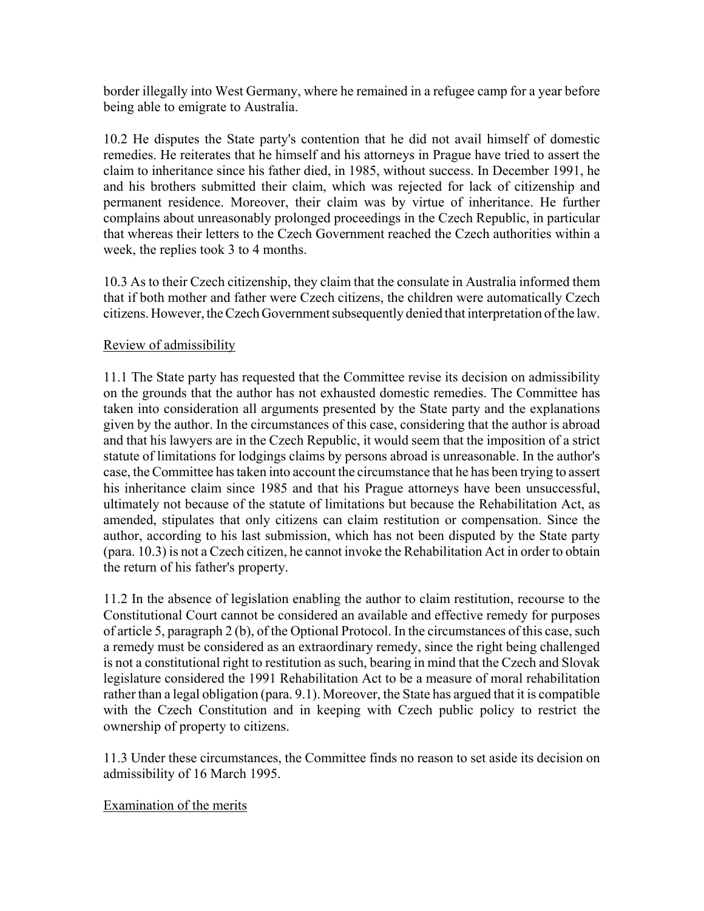border illegally into West Germany, where he remained in a refugee camp for a year before being able to emigrate to Australia.

10.2 He disputes the State party's contention that he did not avail himself of domestic remedies. He reiterates that he himself and his attorneys in Prague have tried to assert the claim to inheritance since his father died, in 1985, without success. In December 1991, he and his brothers submitted their claim, which was rejected for lack of citizenship and permanent residence. Moreover, their claim was by virtue of inheritance. He further complains about unreasonably prolonged proceedings in the Czech Republic, in particular that whereas their letters to the Czech Government reached the Czech authorities within a week, the replies took 3 to 4 months.

10.3 As to their Czech citizenship, they claim that the consulate in Australia informed them that if both mother and father were Czech citizens, the children were automatically Czech citizens. However, the Czech Government subsequently denied that interpretation of the law.

### Review of admissibility

11.1 The State party has requested that the Committee revise its decision on admissibility on the grounds that the author has not exhausted domestic remedies. The Committee has taken into consideration all arguments presented by the State party and the explanations given by the author. In the circumstances of this case, considering that the author is abroad and that his lawyers are in the Czech Republic, it would seem that the imposition of a strict statute of limitations for lodgings claims by persons abroad is unreasonable. In the author's case, the Committee has taken into account the circumstance that he has been trying to assert his inheritance claim since 1985 and that his Prague attorneys have been unsuccessful, ultimately not because of the statute of limitations but because the Rehabilitation Act, as amended, stipulates that only citizens can claim restitution or compensation. Since the author, according to his last submission, which has not been disputed by the State party (para. 10.3) is not a Czech citizen, he cannot invoke the Rehabilitation Act in order to obtain the return of his father's property.

11.2 In the absence of legislation enabling the author to claim restitution, recourse to the Constitutional Court cannot be considered an available and effective remedy for purposes of article 5, paragraph 2 (b), of the Optional Protocol. In the circumstances of this case, such a remedy must be considered as an extraordinary remedy, since the right being challenged is not a constitutional right to restitution as such, bearing in mind that the Czech and Slovak legislature considered the 1991 Rehabilitation Act to be a measure of moral rehabilitation rather than a legal obligation (para. 9.1). Moreover, the State has argued that it is compatible with the Czech Constitution and in keeping with Czech public policy to restrict the ownership of property to citizens.

11.3 Under these circumstances, the Committee finds no reason to set aside its decision on admissibility of 16 March 1995.

### Examination of the merits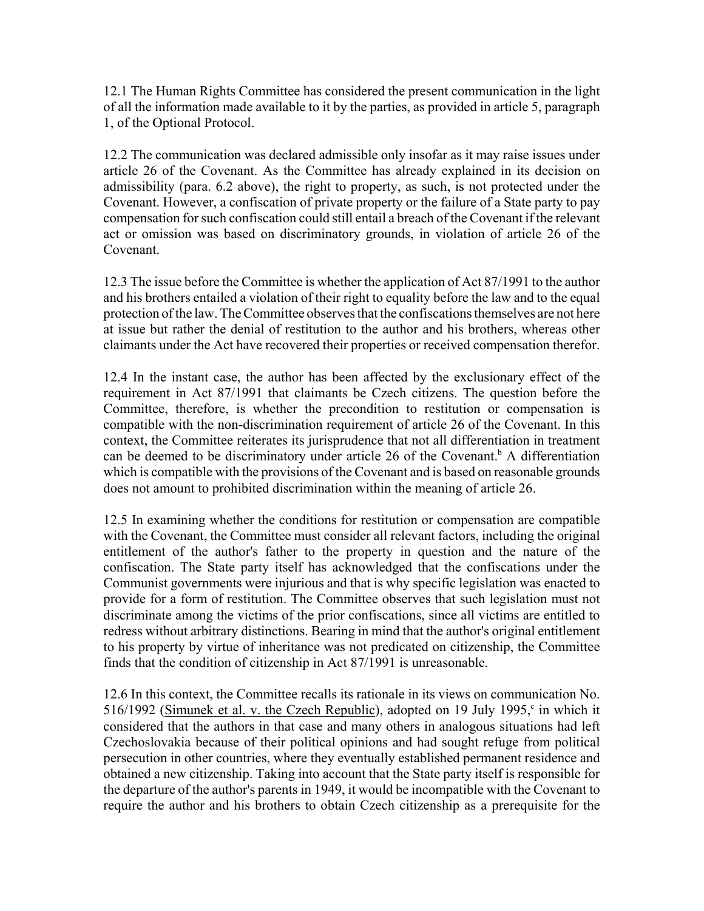12.1 The Human Rights Committee has considered the present communication in the light of all the information made available to it by the parties, as provided in article 5, paragraph 1, of the Optional Protocol.

12.2 The communication was declared admissible only insofar as it may raise issues under article 26 of the Covenant. As the Committee has already explained in its decision on admissibility (para. 6.2 above), the right to property, as such, is not protected under the Covenant. However, a confiscation of private property or the failure of a State party to pay compensation for such confiscation could still entail a breach of the Covenant if the relevant act or omission was based on discriminatory grounds, in violation of article 26 of the Covenant.

12.3 The issue before the Committee is whether the application of Act 87/1991 to the author and his brothers entailed a violation of their right to equality before the law and to the equal protection of the law. The Committee observes that the confiscations themselves are not here at issue but rather the denial of restitution to the author and his brothers, whereas other claimants under the Act have recovered their properties or received compensation therefor.

12.4 In the instant case, the author has been affected by the exclusionary effect of the requirement in Act 87/1991 that claimants be Czech citizens. The question before the Committee, therefore, is whether the precondition to restitution or compensation is compatible with the non-discrimination requirement of article 26 of the Covenant. In this context, the Committee reiterates its jurisprudence that not all differentiation in treatment can be deemed to be discriminatory under article 26 of the Covenant.<sup>b</sup> A differentiation which is compatible with the provisions of the Covenant and is based on reasonable grounds does not amount to prohibited discrimination within the meaning of article 26.

12.5 In examining whether the conditions for restitution or compensation are compatible with the Covenant, the Committee must consider all relevant factors, including the original entitlement of the author's father to the property in question and the nature of the confiscation. The State party itself has acknowledged that the confiscations under the Communist governments were injurious and that is why specific legislation was enacted to provide for a form of restitution. The Committee observes that such legislation must not discriminate among the victims of the prior confiscations, since all victims are entitled to redress without arbitrary distinctions. Bearing in mind that the author's original entitlement to his property by virtue of inheritance was not predicated on citizenship, the Committee finds that the condition of citizenship in Act 87/1991 is unreasonable.

12.6 In this context, the Committee recalls its rationale in its views on communication No. 516/1992 (Simunek et al. v. the Czech Republic), adopted on 19 July 1995,<sup>c</sup> in which it considered that the authors in that case and many others in analogous situations had left Czechoslovakia because of their political opinions and had sought refuge from political persecution in other countries, where they eventually established permanent residence and obtained a new citizenship. Taking into account that the State party itself is responsible for the departure of the author's parents in 1949, it would be incompatible with the Covenant to require the author and his brothers to obtain Czech citizenship as a prerequisite for the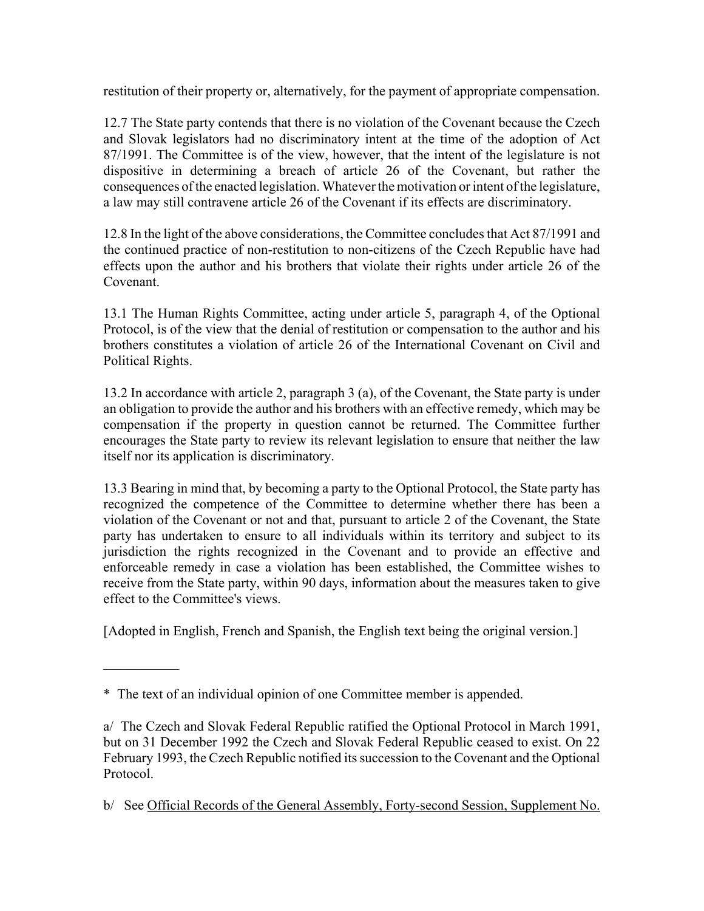restitution of their property or, alternatively, for the payment of appropriate compensation.

12.7 The State party contends that there is no violation of the Covenant because the Czech and Slovak legislators had no discriminatory intent at the time of the adoption of Act 87/1991. The Committee is of the view, however, that the intent of the legislature is not dispositive in determining a breach of article 26 of the Covenant, but rather the consequences of the enacted legislation. Whatever the motivation or intent of the legislature, a law may still contravene article 26 of the Covenant if its effects are discriminatory.

12.8 In the light of the above considerations, the Committee concludes that Act 87/1991 and the continued practice of non-restitution to non-citizens of the Czech Republic have had effects upon the author and his brothers that violate their rights under article 26 of the Covenant.

13.1 The Human Rights Committee, acting under article 5, paragraph 4, of the Optional Protocol, is of the view that the denial of restitution or compensation to the author and his brothers constitutes a violation of article 26 of the International Covenant on Civil and Political Rights.

13.2 In accordance with article 2, paragraph 3 (a), of the Covenant, the State party is under an obligation to provide the author and his brothers with an effective remedy, which may be compensation if the property in question cannot be returned. The Committee further encourages the State party to review its relevant legislation to ensure that neither the law itself nor its application is discriminatory.

13.3 Bearing in mind that, by becoming a party to the Optional Protocol, the State party has recognized the competence of the Committee to determine whether there has been a violation of the Covenant or not and that, pursuant to article 2 of the Covenant, the State party has undertaken to ensure to all individuals within its territory and subject to its jurisdiction the rights recognized in the Covenant and to provide an effective and enforceable remedy in case a violation has been established, the Committee wishes to receive from the State party, within 90 days, information about the measures taken to give effect to the Committee's views.

[Adopted in English, French and Spanish, the English text being the original version.]

 $\mathcal{L}_\text{max}$ 

b/ See Official Records of the General Assembly, Forty-second Session, Supplement No.

<sup>\*</sup> The text of an individual opinion of one Committee member is appended.

a/ The Czech and Slovak Federal Republic ratified the Optional Protocol in March 1991, but on 31 December 1992 the Czech and Slovak Federal Republic ceased to exist. On 22 February 1993, the Czech Republic notified its succession to the Covenant and the Optional Protocol.